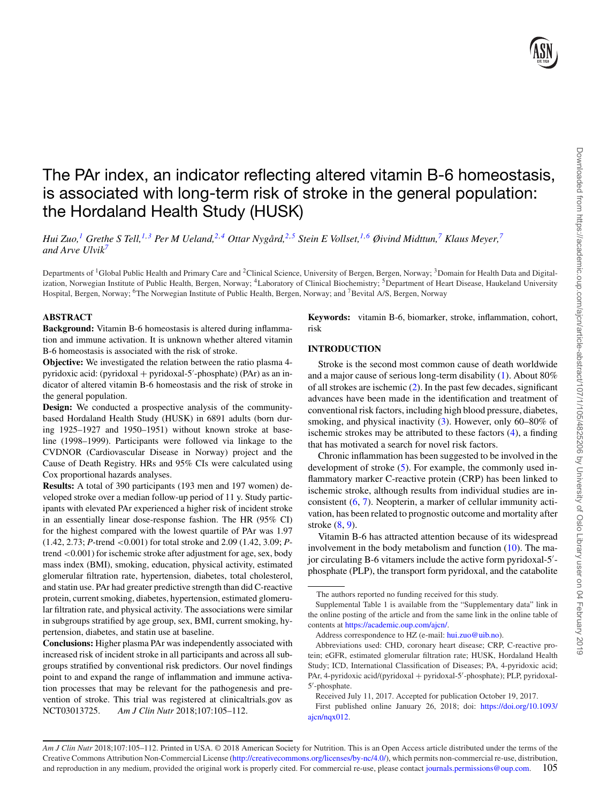# The PAr index, an indicator reflecting altered vitamin B-6 homeostasis, is associated with long-term risk of stroke in the general population: the Hordaland Health Study (HUSK)

Hui Zuo,<sup>[1](#page-0-0)</sup> Grethe S Tell,<sup>[1,](#page-0-0)[3](#page-0-1)</sup> Per M Ueland,<sup>2[,4](#page-0-2)</sup> Ottar Nygård,<sup>2[,5](#page-0-3)</sup> Stein E Vollset,<sup>1,[6](#page-0-4)</sup> Øivind Midttun,<sup>[7](#page-0-5)</sup> Klaus Meyer,<sup>7</sup> *and Arve Ulvi[k7](#page-0-5)*

<span id="page-0-0"></span>Departments of <sup>1</sup>Global Public Health and Primary Care and <sup>2</sup>Clinical Science, University of Bergen, Bergen, Norway; <sup>3</sup>Domain for Health Data and Digitalization, Norwegian Institute of Public Health, Bergen, Norway; <sup>4</sup>Laboratory of Clinical Biochemistry; <sup>5</sup>Department of Heart Disease, Haukeland University Hospital, Bergen, Norway; <sup>6</sup>The Norwegian Institute of Public Health, Bergen, Norway; and <sup>7</sup>Bevital A/S, Bergen, Norway

## <span id="page-0-4"></span>**ABSTRACT**

**Background:** Vitamin B-6 homeostasis is altered during inflammation and immune activation. It is unknown whether altered vitamin B-6 homeostasis is associated with the risk of stroke.

**Objective:** We investigated the relation between the ratio plasma 4 pyridoxic acid: (pyridoxal + pyridoxal-5'-phosphate) (PAr) as an indicator of altered vitamin B-6 homeostasis and the risk of stroke in the general population.

**Design:** We conducted a prospective analysis of the communitybased Hordaland Health Study (HUSK) in 6891 adults (born during 1925–1927 and 1950–1951) without known stroke at baseline (1998–1999). Participants were followed via linkage to the CVDNOR (Cardiovascular Disease in Norway) project and the Cause of Death Registry. HRs and 95% CIs were calculated using Cox proportional hazards analyses.

**Results:** A total of 390 participants (193 men and 197 women) developed stroke over a median follow-up period of 11 y. Study participants with elevated PAr experienced a higher risk of incident stroke in an essentially linear dose-response fashion. The HR (95% CI) for the highest compared with the lowest quartile of PAr was 1.97 (1.42, 2.73; *P*-trend <0.001) for total stroke and 2.09 (1.42, 3.09; *P*trend <0.001) for ischemic stroke after adjustment for age, sex, body mass index (BMI), smoking, education, physical activity, estimated glomerular filtration rate, hypertension, diabetes, total cholesterol, and statin use. PAr had greater predictive strength than did C-reactive protein, current smoking, diabetes, hypertension, estimated glomerular filtration rate, and physical activity. The associations were similar in subgroups stratified by age group, sex, BMI, current smoking, hypertension, diabetes, and statin use at baseline.

**Conclusions:** Higher plasma PAr was independently associated with increased risk of incident stroke in all participants and across all subgroups stratified by conventional risk predictors. Our novel findings point to and expand the range of inflammation and immune activation processes that may be relevant for the pathogenesis and prevention of stroke. This trial was registered at clinicaltrials.gov as NCT03013725. *Am J Clin Nutr* 2018;107:105–112.

<span id="page-0-5"></span><span id="page-0-3"></span><span id="page-0-2"></span><span id="page-0-1"></span>**Keywords:** vitamin B-6, biomarker, stroke, inflammation, cohort, risk

# **INTRODUCTION**

Stroke is the second most common cause of death worldwide and a major cause of serious long-term disability [\(1\)](#page-6-0). About 80% of all strokes are ischemic [\(2\)](#page-6-1). In the past few decades, significant advances have been made in the identification and treatment of conventional risk factors, including high blood pressure, diabetes, smoking, and physical inactivity [\(3\)](#page-6-2). However, only 60–80% of ischemic strokes may be attributed to these factors [\(4\)](#page-7-0), a finding that has motivated a search for novel risk factors.

Chronic inflammation has been suggested to be involved in the development of stroke [\(5\)](#page-7-1). For example, the commonly used inflammatory marker C-reactive protein (CRP) has been linked to ischemic stroke, although results from individual studies are inconsistent [\(6,](#page-7-2) [7\)](#page-7-3). Neopterin, a marker of cellular immunity activation, has been related to prognostic outcome and mortality after stroke [\(8,](#page-7-4) [9\)](#page-7-5).

Vitamin B-6 has attracted attention because of its widespread involvement in the body metabolism and function  $(10)$ . The major circulating B-6 vitamers include the active form pyridoxal-5'phosphate (PLP), the transport form pyridoxal, and the catabolite

Address correspondence to HZ (e-mail: [hui.zuo@uib.no\)](mailto:hui.zuo@uib.no).

Abbreviations used: CHD, coronary heart disease; CRP, C-reactive protein; eGFR, estimated glomerular filtration rate; HUSK, Hordaland Health Study; ICD, International Classification of Diseases; PA, 4-pyridoxic acid; PAr, 4-pyridoxic acid/(pyridoxal + pyridoxal-5'-phosphate); PLP, pyridoxal-5- -phosphate.

Received July 11, 2017. Accepted for publication October 19, 2017.

[First published online January 26, 2018; doi:](https://doi.org/10.1093/ajcn/nqx012) https://doi.org/10.1093/ ajcn/nqx012.

The authors reported no funding received for this study.

Supplemental Table 1 is available from the "Supplementary data" link in the online posting of the article and from the same link in the online table of contents at [https://academic.oup.com/ajcn/.](https://academic.oup.com/ajcn/)

*Am J Clin Nutr* 2018;107:105–112. Printed in USA. © 2018 American Society for Nutrition. This is an Open Access article distributed under the terms of the Creative Commons Attribution Non-Commercial License [\(http://creativecommons.org/licenses/by-nc/4.0/\)](http://creativecommons.org/licenses/by-nc/4.0/), which permits non-commercial re-use, distribution, and reproduction in any medium, provided the original work is properly cited. For commercial re-use, please contact [journals.permissions@oup.com.](mailto:journals.permissions@oup.com) 105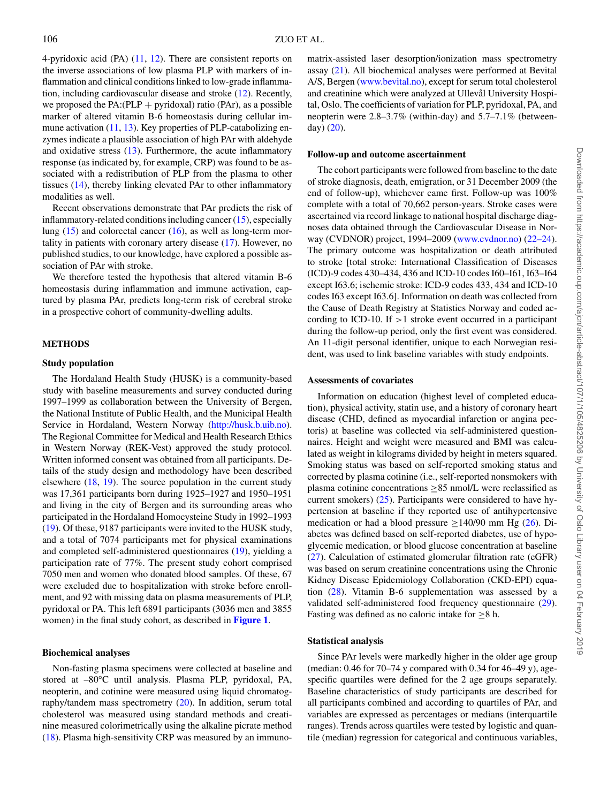4-pyridoxic acid (PA) [\(11,](#page-7-7) [12\)](#page-7-8). There are consistent reports on the inverse associations of low plasma PLP with markers of inflammation and clinical conditions linked to low-grade inflammation, including cardiovascular disease and stroke [\(12\)](#page-7-8). Recently, we proposed the  $PA:(PLP + pyridoxal)$  ratio ( $PAr$ ), as a possible marker of altered vitamin B-6 homeostasis during cellular immune activation [\(11,](#page-7-7) [13\)](#page-7-9). Key properties of PLP-catabolizing enzymes indicate a plausible association of high PAr with aldehyde and oxidative stress [\(13\)](#page-7-9). Furthermore, the acute inflammatory response (as indicated by, for example, CRP) was found to be associated with a redistribution of PLP from the plasma to other tissues [\(14\)](#page-7-10), thereby linking elevated PAr to other inflammatory modalities as well.

Recent observations demonstrate that PAr predicts the risk of inflammatory-related conditions including cancer [\(15\)](#page-7-11), especially lung [\(15\)](#page-7-11) and colorectal cancer [\(16\)](#page-7-12), as well as long-term mortality in patients with coronary artery disease [\(17\)](#page-7-13). However, no published studies, to our knowledge, have explored a possible association of PAr with stroke.

We therefore tested the hypothesis that altered vitamin B-6 homeostasis during inflammation and immune activation, captured by plasma PAr, predicts long-term risk of cerebral stroke in a prospective cohort of community-dwelling adults.

# **METHODS**

#### **Study population**

The Hordaland Health Study (HUSK) is a community-based study with baseline measurements and survey conducted during 1997–1999 as collaboration between the University of Bergen, the National Institute of Public Health, and the Municipal Health Service in Hordaland, Western Norway [\(http://husk.b.uib.no\)](http://husk.b.uib.no). The Regional Committee for Medical and Health Research Ethics in Western Norway (REK-Vest) approved the study protocol. Written informed consent was obtained from all participants. Details of the study design and methodology have been described elsewhere  $(18, 19)$  $(18, 19)$  $(18, 19)$ . The source population in the current study was 17,361 participants born during 1925–1927 and 1950–1951 and living in the city of Bergen and its surrounding areas who participated in the Hordaland Homocysteine Study in 1992–1993 [\(19\)](#page-7-15). Of these, 9187 participants were invited to the HUSK study, and a total of 7074 participants met for physical examinations and completed self-administered questionnaires [\(19\)](#page-7-15), yielding a participation rate of 77%. The present study cohort comprised 7050 men and women who donated blood samples. Of these, 67 were excluded due to hospitalization with stroke before enrollment, and 92 with missing data on plasma measurements of PLP, pyridoxal or PA. This left 6891 participants (3036 men and 3855 women) in the final study cohort, as described in **[Figure 1](#page-2-0)**.

## **Biochemical analyses**

Non-fasting plasma specimens were collected at baseline and stored at –80°C until analysis. Plasma PLP, pyridoxal, PA, neopterin, and cotinine were measured using liquid chromatography/tandem mass spectrometry [\(20\)](#page-7-16). In addition, serum total cholesterol was measured using standard methods and creatinine measured colorimetrically using the alkaline picrate method [\(18\)](#page-7-14). Plasma high-sensitivity CRP was measured by an immuno-

matrix-assisted laser desorption/ionization mass spectrometry assay [\(21\)](#page-7-17). All biochemical analyses were performed at Bevital A/S, Bergen [\(www.bevital.no\)](http://www.bevital.no), except for serum total cholesterol and creatinine which were analyzed at Ullevål University Hospital, Oslo. The coefficients of variation for PLP, pyridoxal, PA, and neopterin were 2.8–3.7% (within-day) and 5.7–7.1% (betweenday) [\(20\)](#page-7-16).

#### **Follow-up and outcome ascertainment**

The cohort participants were followed from baseline to the date of stroke diagnosis, death, emigration, or 31 December 2009 (the end of follow-up), whichever came first. Follow-up was 100% complete with a total of 70,662 person-years. Stroke cases were ascertained via record linkage to national hospital discharge diagnoses data obtained through the Cardiovascular Disease in Norway (CVDNOR) project, 1994–2009 [\(www.cvdnor.no\)](http://www.cvdnor.no) (22–24). The primary outcome was hospitalization or death attributed to stroke [total stroke: International Classification of Diseases (ICD)-9 codes 430–434, 436 and ICD-10 codes I60–I61, I63–I64 except I63.6; ischemic stroke: ICD-9 codes 433, 434 and ICD-10 codes I63 except I63.6]. Information on death was collected from the Cause of Death Registry at Statistics Norway and coded according to ICD-10. If  $>1$  stroke event occurred in a participant during the follow-up period, only the first event was considered. An 11-digit personal identifier, unique to each Norwegian resident, was used to link baseline variables with study endpoints.

#### **Assessments of covariates**

Information on education (highest level of completed education), physical activity, statin use, and a history of coronary heart disease (CHD, defined as myocardial infarction or angina pectoris) at baseline was collected via self-administered questionnaires. Height and weight were measured and BMI was calculated as weight in kilograms divided by height in meters squared. Smoking status was based on self-reported smoking status and corrected by plasma cotinine (i.e., self-reported nonsmokers with plasma cotinine concentrations  $\geq 85$  nmol/L were reclassified as current smokers) [\(25\)](#page-7-18). Participants were considered to have hypertension at baseline if they reported use of antihypertensive medication or had a blood pressure  $\geq$ 140/90 mm Hg [\(26\)](#page-7-19). Diabetes was defined based on self-reported diabetes, use of hypoglycemic medication, or blood glucose concentration at baseline [\(27\)](#page-7-20). Calculation of estimated glomerular filtration rate (eGFR) was based on serum creatinine concentrations using the Chronic Kidney Disease Epidemiology Collaboration (CKD-EPI) equation [\(28\)](#page-7-21). Vitamin B-6 supplementation was assessed by a validated self-administered food frequency questionnaire [\(29\)](#page-7-22). Fasting was defined as no caloric intake for  $\geq 8$  h.

#### **Statistical analysis**

Since PAr levels were markedly higher in the older age group (median: 0.46 for 70–74 y compared with 0.34 for 46–49 y), agespecific quartiles were defined for the 2 age groups separately. Baseline characteristics of study participants are described for all participants combined and according to quartiles of PAr, and variables are expressed as percentages or medians (interquartile ranges). Trends across quartiles were tested by logistic and quantile (median) regression for categorical and continuous variables,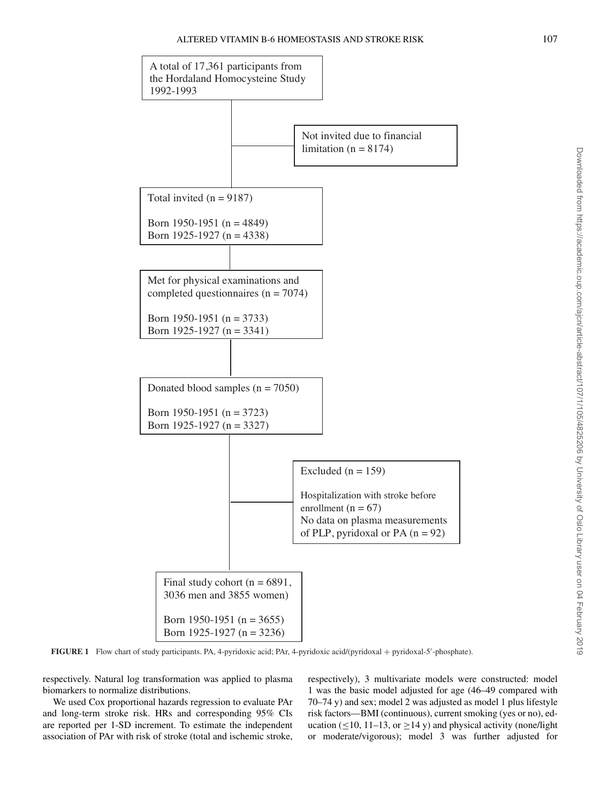<span id="page-2-0"></span>

**FIGURE 1** Flow chart of study participants. PA, 4-pyridoxic acid; PAr, 4-pyridoxic acid/(pyridoxal + pyridoxal-5'-phosphate).

respectively. Natural log transformation was applied to plasma biomarkers to normalize distributions[.](#page-3-0)

We used Cox proportional hazards regression to evaluate PAr and long-term stroke risk. HRs and corresponding 95% CIs are reported per 1-SD increment. To estimate the independent association of PAr with risk of stroke (total and ischemic stroke, respectively), 3 multivariate models were constructed: model 1 was the basic model adjusted for age (46–49 compared with 70–74 y) and sex; model 2 was adjusted as model 1 plus lifestyle risk factors—BMI (continuous), current smoking (yes or no), education ( $\leq$ 10, 11–13, or  $\geq$ 14 y) and physical activity (none/light or moderate/vigorous); model 3 was further adjusted for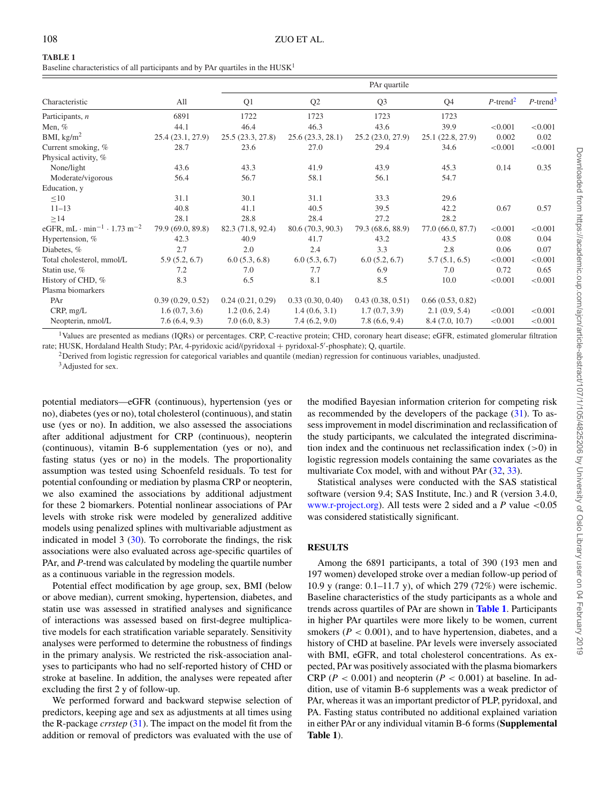<span id="page-3-0"></span>

| I |  |
|---|--|
|   |  |

Baseline characteristics of all participants and by PAr quartiles in the HUSK1

|                                                                 | PAr quartile      |                   |                   |                   |                   |                         |                         |
|-----------------------------------------------------------------|-------------------|-------------------|-------------------|-------------------|-------------------|-------------------------|-------------------------|
| Characteristic                                                  | All               | Q <sub>1</sub>    | Q <sub>2</sub>    | Q <sub>3</sub>    | Q <sub>4</sub>    | $P$ -trend <sup>2</sup> | $P$ -trend <sup>3</sup> |
| Participants, $n$                                               | 6891              | 1722              | 1723              | 1723              | 1723              |                         |                         |
| Men, $%$                                                        | 44.1              | 46.4              | 46.3              | 43.6              | 39.9              | < 0.001                 | < 0.001                 |
| BMI, $\text{kg/m}^2$                                            | 25.4 (23.1, 27.9) | 25.5(23.3, 27.8)  | 25.6(23.3, 28.1)  | 25.2(23.0, 27.9)  | 25.1 (22.8, 27.9) | 0.002                   | 0.02                    |
| Current smoking, %                                              | 28.7              | 23.6              | 27.0              | 29.4              | 34.6              | < 0.001                 | < 0.001                 |
| Physical activity, %                                            |                   |                   |                   |                   |                   |                         |                         |
| None/light                                                      | 43.6              | 43.3              | 41.9              | 43.9              | 45.3              | 0.14                    | 0.35                    |
| Moderate/vigorous                                               | 56.4              | 56.7              | 58.1              | 56.1              | 54.7              |                         |                         |
| Education, y                                                    |                   |                   |                   |                   |                   |                         |                         |
| $\leq 10$                                                       | 31.1              | 30.1              | 31.1              | 33.3              | 29.6              |                         |                         |
| $11 - 13$                                                       | 40.8              | 41.1              | 40.5              | 39.5              | 42.2              | 0.67                    | 0.57                    |
| $\geq$ 14                                                       | 28.1              | 28.8              | 28.4              | 27.2              | 28.2              |                         |                         |
| eGFR, mL $\cdot$ min <sup>-1</sup> $\cdot$ 1.73 m <sup>-2</sup> | 79.9 (69.0, 89.8) | 82.3 (71.8, 92.4) | 80.6 (70.3, 90.3) | 79.3 (68.6, 88.9) | 77.0 (66.0, 87.7) | < 0.001                 | < 0.001                 |
| Hypertension, %                                                 | 42.3              | 40.9              | 41.7              | 43.2              | 43.5              | 0.08                    | 0.04                    |
| Diabetes, %                                                     | 2.7               | 2.0               | 2.4               | 3.3               | 2.8               | 0.06                    | 0.07                    |
| Total cholesterol, mmol/L                                       | 5.9(5.2, 6.7)     | 6.0(5.3, 6.8)     | 6.0(5.3, 6.7)     | 6.0(5.2, 6.7)     | 5.7(5.1, 6.5)     | < 0.001                 | < 0.001                 |
| Statin use, %                                                   | 7.2               | 7.0               | 7.7               | 6.9               | 7.0               | 0.72                    | 0.65                    |
| History of CHD, %                                               | 8.3               | 6.5               | 8.1               | 8.5               | 10.0              | < 0.001                 | < 0.001                 |
| Plasma biomarkers                                               |                   |                   |                   |                   |                   |                         |                         |
| PAr                                                             | 0.39(0.29, 0.52)  | 0.24(0.21, 0.29)  | 0.33(0.30, 0.40)  | 0.43(0.38, 0.51)  | 0.66(0.53, 0.82)  |                         |                         |
| CRP, mg/L                                                       | 1.6(0.7, 3.6)     | 1.2(0.6, 2.4)     | 1.4(0.6, 3.1)     | 1.7(0.7, 3.9)     | 2.1(0.9, 5.4)     | < 0.001                 | < 0.001                 |
| Neopterin, nmol/L                                               | 7.6(6.4, 9.3)     | 7.0(6.0, 8.3)     | 7.4(6.2, 9.0)     | 7.8(6.6, 9.4)     | 8.4(7.0, 10.7)    | < 0.001                 | < 0.001                 |

<span id="page-3-1"></span><sup>1</sup>Values are presented as medians (IQRs) or percentages. CRP, C-reactive protein; CHD, coronary heart disease; eGFR, estimated glomerular filtration rate; HUSK, Hordaland Health Study; PAr, 4-pyridoxic acid/(pyridoxal + pyridoxal-5'-phosphate); Q, quartile.

<span id="page-3-2"></span> ${}^{2}$ Derived from logistic regression for categorical variables and quantile (median) regression for continuous variables, unadjusted.

<sup>3</sup>Adjusted for sex.

potential mediators—eGFR (continuous), hypertension (yes or no), diabetes (yes or no), total cholesterol (continuous), and statin use (yes or no). In addition, we also assessed the associations after additional adjustment for CRP (continuous), neopterin (continuous), vitamin B-6 supplementation (yes or no), and fasting status (yes or no) in the models. The proportionality assumption was tested using Schoenfeld residuals. To test for potential confounding or mediation by plasma CRP or neopterin, we also examined the associations by additional adjustment for these 2 biomarkers. Potential nonlinear associations of PAr levels with stroke risk were modeled by generalized additive models using penalized splines with multivariable adjustment as indicated in model  $3$  ( $30$ ). To corroborate the findings, the risk associations were also evaluated across age-specific quartiles of PAr, and *P*-trend was calculated by modeling the quartile number as a continuous variable in the regression models.

Potential effect modification by age group, sex, BMI (below or above median), current smoking, hypertension, diabetes, and statin use was assessed in stratified analyses and significance of interactions was assessed based on first-degree multiplicative models for each stratification variable separately. Sensitivity analyses were performed to determine the robustness of findings in the primary analysis. We restricted the risk-association analyses to participants who had no self-reported history of CHD or stroke at baseline. In addition, the analyses were repeated after excluding the first 2 y of follow-up.

We performed forward and backward stepwise selection of predictors, keeping age and sex as adjustments at all times using the R-package *crrstep* [\(31\)](#page-7-24). The impact on the model fit from the addition or removal of predictors was evaluated with the use of

the modified Bayesian information criterion for competing risk as recommended by the developers of the package  $(31)$ . To assess improvement in model discrimination and reclassification of the study participants, we calculated the integrated discrimination index and the continuous net reclassification index  $(>0)$  in logistic regression models containing the same covariates as the multivariate Cox model, with and without PAr [\(32,](#page-7-25) [33\)](#page-7-26).

Statistical analyses were conducted with the SAS statistical software (version 9.4; SAS Institute, Inc.) and R (version 3.4.0, [www.r-project.org\)](http://www.r-project.org). All tests were 2 sided and a  $P$  value  $\leq 0.05$ was considered statistically significant.

## **RESULTS**

Among the 6891 participants, a total of 390 (193 men and 197 women) developed stroke over a median follow-up period of 10.9 y (range: 0.1–11.7 y), of which 279 (72%) were ischemic. Baseline characteristics of the study participants as a whole and trends across quartiles of PAr are shown in **[Table 1](#page-3-0)**. Participants in higher PAr quartiles were more likely to be women, current smokers  $(P < 0.001)$ , and to have hypertension, diabetes, and a history of CHD at baseline. PAr levels were inversely associated with BMI, eGFR, and total cholesterol concentrations. As expected, PAr was positively associated with the plasma biomarkers CRP ( $P < 0.001$ ) and neopterin ( $P < 0.001$ ) at baseline. In addition, use of vitamin B-6 supplements was a weak predictor of PAr, whereas it was an important predictor of PLP, pyridoxal, and PA. Fasting status contributed no additional explained variation in either PAr or any individual vitamin B-6 forms (**Supplemental Table 1**).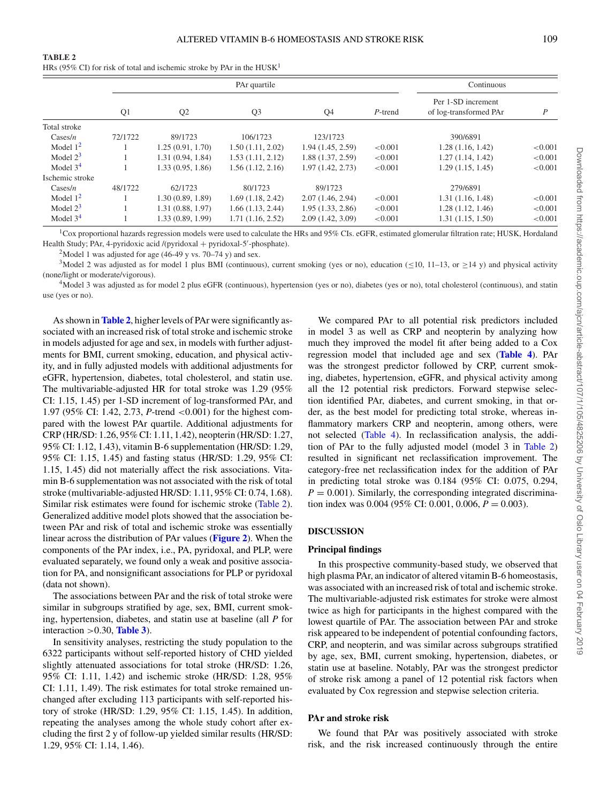<span id="page-4-0"></span>

| ۰. |  |
|----|--|
|----|--|

HRs (95% CI) for risk of total and ischemic stroke by PAr in the  $HUSK<sup>1</sup>$ 

|                  | PAr quartile   |                  |                  | Continuous        |         |                                              |         |
|------------------|----------------|------------------|------------------|-------------------|---------|----------------------------------------------|---------|
|                  | Q <sub>1</sub> | Q <sub>2</sub>   | Q <sub>3</sub>   | Q4                | P-trend | Per 1-SD increment<br>of log-transformed PAr | P       |
| Total stroke     |                |                  |                  |                   |         |                                              |         |
| $\text{Cases}/n$ | 72/1722        | 89/1723          | 106/1723         | 123/1723          |         | 390/6891                                     |         |
| Model $12$       |                | 1.25(0.91, 1.70) | 1.50(1.11, 2.02) | 1.94(1.45, 2.59)  | < 0.001 | 1.28(1.16, 1.42)                             | < 0.001 |
| Model $2^3$      |                | 1.31(0.94, 1.84) | 1.53(1.11, 2.12) | 1.88 (1.37, 2.59) | < 0.001 | 1.27(1.14, 1.42)                             | < 0.001 |
| Model $34$       |                | 1.33(0.95, 1.86) | 1.56(1.12, 2.16) | 1.97(1.42, 2.73)  | < 0.001 | 1.29(1.15, 1.45)                             | < 0.001 |
| Ischemic stroke  |                |                  |                  |                   |         |                                              |         |
| $\text{Cases}/n$ | 48/1722        | 62/1723          | 80/1723          | 89/1723           |         | 279/6891                                     |         |
| Model $12$       |                | 1.30(0.89, 1.89) | 1.69(1.18, 2.42) | 2.07(1.46, 2.94)  | < 0.001 | 1.31(1.16, 1.48)                             | < 0.001 |
| Model $2^3$      |                | 1.31(0.88, 1.97) | 1.66(1.13, 2.44) | 1.95(1.33, 2.86)  | < 0.001 | 1.28(1.12, 1.46)                             | < 0.001 |
| Model $34$       |                | 1.33(0.89, 1.99) | 1.71(1.16, 2.52) | 2.09(1.42, 3.09)  | < 0.001 | 1.31 (1.15, 1.50)                            | < 0.001 |

<span id="page-4-1"></span>1Cox proportional hazards regression models were used to calculate the HRs and 95% CIs. eGFR, estimated glomerular filtration rate; HUSK, Hordaland Health Study; PAr, 4-pyridoxic acid /(pyridoxal + pyridoxal-5'-phosphate).

<sup>2</sup>Model 1 was adjusted for age (46-49 y vs.  $70-74$  y) and sex.

<span id="page-4-3"></span><span id="page-4-2"></span><sup>3</sup>Model 2 was adjusted as for model 1 plus BMI (continuous), current smoking (yes or no), education (<10, 11–13, or >14 y) and physical activity (none/light or moderate/vigorous).

<span id="page-4-4"></span><sup>4</sup>Model 3 was adjusted as for model 2 plus eGFR (continuous), hypertension (yes or no), diabetes (yes or no), total cholesterol (continuous), and statin use (yes or no).

As shown in **[Table 2](#page-4-0)**, higher levels of PAr were significantly associated with an increased risk of total stroke and ischemic stroke in models adjusted for age and sex, in models with further adjustments for BMI, current smoking, education, and physical activity, and in fully adjusted models with additional adjustments for eGFR, hypertension, diabetes, total cholesterol, and statin use. The multivariable-adjusted HR for total stroke was 1.29 (95% CI: 1.15, 1.45) per 1-SD increment of log-transformed PAr, and 1.97 (95% CI: 1.42, 2.73, *P*-trend <0.001) for the highest compared with the lowest PAr quartile. Additional adjustments for CRP (HR/SD: 1.26, 95% CI: 1.11, 1.42), neopterin (HR/SD: 1.27, 95% CI: 1.12, 1.43), vitamin B-6 supplementation (HR/SD: 1.29, 95% CI: 1.15, 1.45) and fasting status (HR/SD: 1.29, 95% CI: 1.15, 1.45) did not materially affect the risk associations. Vitamin B-6 supplementation was not associated with the risk of total stroke (multivariable-adjusted HR/SD: 1.11, 95% CI: 0.74, 1.68). Similar risk estimates were found for ischemic stroke [\(Table 2\)](#page-4-0). Generalized additive model plots showed that the association between PAr and risk of total and ischemic stroke was essentially linear across the distribution of PAr values (**[Figure 2](#page-5-0)**). When the components of the PAr index, i.e., PA, pyridoxal, and PLP, were evaluated separately, we found only a weak and positive association for PA, and nonsignificant associations for PLP or pyridoxal (data not shown).

The associations between PAr and the risk of total stroke were similar in subgroups stratified by age, sex, BMI, current smoking, hypertension, diabetes, and statin use at baseline (all *P* for interaction  $>0.30$ , **[Table 3](#page-6-3)**).

In sensitivity analyses, restricting the study population to the 6322 participants without self-reported history of CHD yielded slightly attenuated associations for total stroke (HR/SD: 1.26, 95% CI: 1.11, 1.42) and ischemic stroke (HR/SD: 1.28, 95% CI: 1.11, 1.49). The risk estimates for total stroke remained unchanged after excluding 113 participants with self-reported history of stroke (HR/SD: 1.29, 95% CI: 1.15, 1.45). In addition, repeating the analyses among the whole study cohort after excluding the first 2 y of follow-up yielded similar results (HR/SD: 1.29, 95% CI: 1.14, 1.46).

We compared PAr to all potential risk predictors included in model 3 as well as CRP and neopterin by analyzing how much they improved the model fit after being added to a Cox regression model that included age and sex (**[Table 4](#page-6-4)**). PAr was the strongest predictor followed by CRP, current smoking, diabetes, hypertension, eGFR, and physical activity among all the 12 potential risk predictors. Forward stepwise selection identified PAr, diabetes, and current smoking, in that order, as the best model for predicting total stroke, whereas inflammatory markers CRP and neopterin, among others, were not selected [\(Table 4\)](#page-6-4). In reclassification analysis, the addition of PAr to the fully adjusted model (model 3 in [Table 2\)](#page-4-0) resulted in significant net reclassification improvement. The category-free net reclassification index for the addition of PAr in predicting total stroke was 0.184 (95% CI: 0.075, 0.294,  $P = 0.001$ ). Similarly, the corresponding integrated discrimination index was 0.004 (95% CI: 0.001, 0.006,  $P = 0.003$ ).

## **DISCUSSION**

#### **Principal findings**

In this prospective community-based study, we observed that high plasma PAr, an indicator of altered vitamin B-6 homeostasis, was associated with an increased risk of total and ischemic stroke. The multivariable-adjusted risk estimates for stroke were almost twice as high for participants in the highest compared with the lowest quartile of PAr. The association between PAr and stroke risk appeared to be independent of potential confounding factors, CRP, and neopterin, and was similar across subgroups stratified by age, sex, BMI, current smoking, hypertension, diabetes, or statin use at baseline. Notably, PAr was the strongest predictor of stroke risk among a panel of 12 potential risk factors when evaluated by Cox regression and stepwise selection criteria.

# **PAr and stroke risk**

We found that PAr was positively associated with stroke risk, and the risk increased continuously through the entire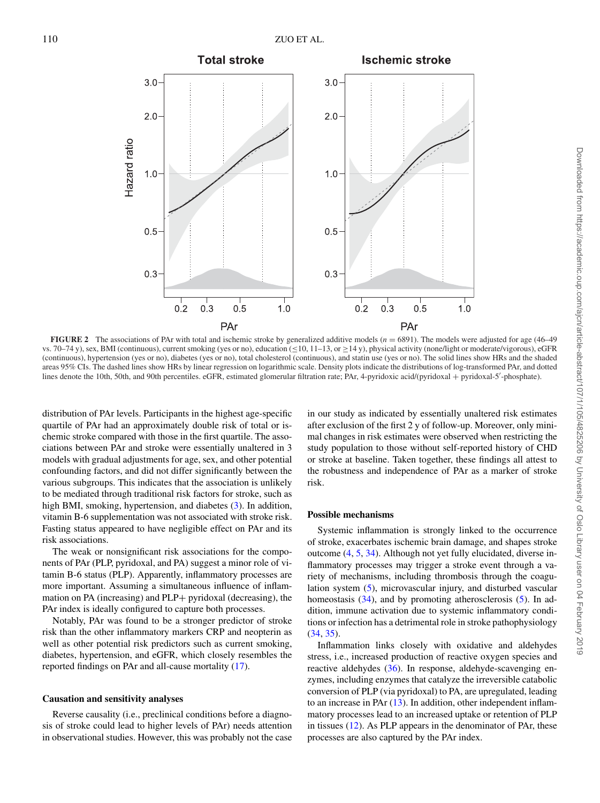<span id="page-5-0"></span>

**FIGURE 2** The associations of PAr with total and ischemic stroke by generalized additive models (*n* = 6891). The models were adjusted for age (46–49 vs. 70–74 y), sex, BMI (continuous), current smoking (yes or no), education (≤10, 11–13, or ≥14 y), physical activity (none/light or moderate/vigorous), eGFR (continuous), hypertension (yes or no), diabetes (yes or no), total cholesterol (continuous), and statin use (yes or no). The solid lines show HRs and the shaded areas 95% CIs. The dashed lines show HRs by linear regression on logarithmic scale. Density plots indicate the distributions of log-transformed PAr, and dotted lines denote the 10th, 50th, and 90th percentiles. eGFR, estimated glomerular filtration rate; PAr, 4-pyridoxic acid/(pyridoxal + pyridoxal-5'-phosphate).

distribution of PAr levels. Participants in the highest age-specific quartile of PAr had an approximately double risk of total or ischemic stroke compared with those in the first quartile. The associations between PAr and stroke were essentially unaltered in 3 models with gradual adjustments for age, sex, and other potential confounding factors, and did not differ significantly between the various subgroups. This indicates that the association is unlikely to be mediated through traditional risk factors for stroke, such as high BMI, smoking, hypertension, and diabetes [\(3\)](#page-6-2). In addition, vitamin B-6 supplementation was not associated with stroke risk. Fasting status appeared to have negligible effect on PAr and its risk associations.

The weak or nonsignificant risk associations for the components of PAr (PLP, pyridoxal, and PA) suggest a minor role of vitamin B-6 status (PLP). Apparently, inflammatory processes are more important. Assuming a simultaneous influence of inflammation on PA (increasing) and PLP+ pyridoxal (decreasing), the PAr index is ideally configured to capture both processes.

Notably, PAr was found to be a stronger predictor of stroke risk than the other inflammatory markers CRP and neopterin as well as other potential risk predictors such as current smoking, diabetes, hypertension, and eGFR, which closely resembles the reported findings on PAr and all-cause mortality [\(17\)](#page-7-13).

## **Causation and sensitivity analyses**

Reverse causality (i.e., preclinical conditions before a diagnosis of stroke could lead to higher levels of PAr) needs attention in observational studies. However, this was probably not the case

in our study as indicated by essentially unaltered risk estimates after exclusion of the first 2 y of follow-up. Moreover, only minimal changes in risk estimates were observed when restricting the study population to those without self-reported history of CHD or stroke at baseline. Taken together, these findings all attest to the robustness and independence of PAr as a marker of stroke risk[.](#page-6-3)

#### **Possible mechanisms**

Systemic inflammation is strongly linked to the occurrence of stroke, exacerbates ischemic brain damage, and shapes stroke outcome [\(4,](#page-7-0) [5,](#page-7-1) [34\)](#page-7-27). Although not yet fully elucidated, diverse inflammatory processes may trigger a stroke event through a variety of mechanisms, including thrombosis through the coagulation system [\(5\)](#page-7-1), microvascular injury, and disturbed vascular homeostasis  $(34)$ , and by promoting atherosclerosis  $(5)$ . In addition, immune activation due to systemic inflammatory conditions or infection has a detrimental role in stroke pathophysiology [\(34,](#page-7-27) [35\)](#page-7-28).

Inflammation links closely with oxidative and aldehydes stress, i.e., increased production of reactive oxygen species and reactive aldehydes [\(36\)](#page-7-29). In response, aldehyde-scavenging enzymes, including enzymes that catalyze the irreversible catabolic conversion of PLP (via pyridoxal) to PA, are upregulated, leading to an increase in PA $r(13)$  $r(13)$ . In addition, other independent inflammatory processes lead to an increased uptake or retention of PLP in tissues [\(12\)](#page-7-8). As PLP appears in the denominator of PAr, these processes are also captured by the PAr index.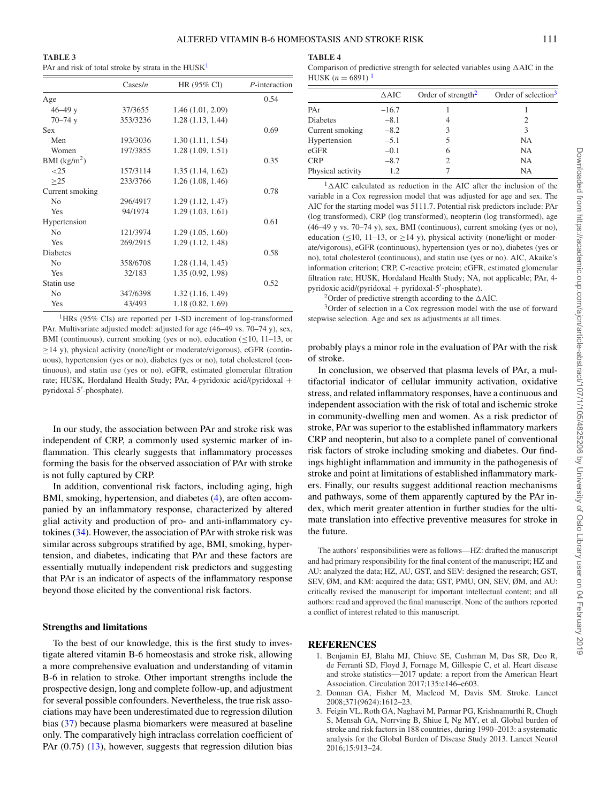<span id="page-6-3"></span>

| <b>TABLE 3</b>                                        |  |
|-------------------------------------------------------|--|
| PAr and risk of total stroke by strata in the $HUSK1$ |  |

|                 | $\text{Cases}/n$ | HR (95% CI)       | P-interaction |
|-----------------|------------------|-------------------|---------------|
| Age             |                  |                   | 0.54          |
| $46 - 49$ y     | 37/3655          | 1.46(1.01, 2.09)  |               |
| $70 - 74$ y     | 353/3236         | 1.28(1.13, 1.44)  |               |
| <b>Sex</b>      |                  |                   | 0.69          |
| Men             | 193/3036         | 1.30(1.11, 1.54)  |               |
| Women           | 197/3855         | 1.28(1.09, 1.51)  |               |
| BMI $(kg/m^2)$  |                  |                   | 0.35          |
| ${<}25$         | 157/3114         | 1.35(1.14, 1.62)  |               |
| >25             | 233/3766         | 1.26(1.08, 1.46)  |               |
| Current smoking |                  |                   | 0.78          |
| N <sub>0</sub>  | 296/4917         | 1.29(1.12, 1.47)  |               |
| Yes             | 94/1974          | 1.29(1.03, 1.61)  |               |
| Hypertension    |                  |                   | 0.61          |
| N <sub>0</sub>  | 121/3974         | 1.29(1.05, 1.60)  |               |
| Yes             | 269/2915         | 1.29(1.12, 1.48)  |               |
| <b>Diabetes</b> |                  |                   | 0.58          |
| N <sub>0</sub>  | 358/6708         | 1.28(1.14, 1.45)  |               |
| Yes             | 32/183           | 1.35 (0.92, 1.98) |               |
| Statin use      |                  |                   | 0.52          |
| N <sub>0</sub>  | 347/6398         | 1.32(1.16, 1.49)  |               |
| Yes             | 43/493           | 1.18(0.82, 1.69)  |               |

<span id="page-6-5"></span><sup>1</sup>HRs ( $95\%$  CIs) are reported per 1-SD increment of log-transformed PAr. Multivariate adjusted model: adjusted for age (46–49 vs. 70–74 y), sex, BMI (continuous), current smoking (yes or no), education  $(\leq 10, 11-13, 0r)$ ≥14 y), physical activity (none/light or moderate/vigorous), eGFR (continuous), hypertension (yes or no), diabetes (yes or no), total cholesterol (continuous), and statin use (yes or no). eGFR, estimated glomerular filtration rate; HUSK, Hordaland Health Study; PAr, 4-pyridoxic acid/(pyridoxal + pyridoxal-5- -phosphate).

In our study, the association between PAr and stroke risk was independent of CRP, a commonly used systemic marker of inflammation. This clearly suggests that inflammatory processes forming the basis for the observed association of PAr with stroke is not fully captured by CRP.

In addition, conventional risk factors, including aging, high BMI, smoking, hypertension, and diabetes [\(4\)](#page-7-0), are often accompanied by an inflammatory response, characterized by altered glial activity and production of pro- and anti-inflammatory cytokines [\(34\)](#page-7-27). However, the association of PAr with stroke risk was similar across subgroups stratified by age, BMI, smoking, hypertension, and diabetes, indicating that PAr and these factors are essentially mutually independent risk predictors and suggesting that PAr is an indicator of aspects of the inflammatory response beyond those elicited by the conventional risk factors.

## **Strengths and limitations**

To the best of our knowledge, this is the first study to investigate altered vitamin B-6 homeostasis and stroke risk, allowing a more comprehensive evaluation and understanding of vitamin B-6 in relation to stroke. Other important strengths include the prospective design, long and complete follow-up, and adjustment for several possible confounders. Nevertheless, the true risk associations may have been underestimated due to regression dilution bias [\(37\)](#page-7-30) because plasma biomarkers were measured at baseline only. The comparatively high intraclass correlation coefficient of PAr  $(0.75)$   $(13)$ , however, suggests that regression dilution bias

## <span id="page-6-4"></span>**TABLE 4**

| Comparison of predictive strength for selected variables using $\triangle AIC$ in the |  |
|---------------------------------------------------------------------------------------|--|
| HUSK $(n = 6891)$                                                                     |  |

|                   | $\triangle AIC$ | Order of strength <sup>2</sup> | Order of selection <sup>3</sup> |
|-------------------|-----------------|--------------------------------|---------------------------------|
| PAr               | $-16.7$         |                                |                                 |
| Diabetes          | $-8.1$          |                                | $\mathcal{D}_{\mathcal{L}}$     |
| Current smoking   | $-8.2$          | 3                              | 3                               |
| Hypertension      | $-5.1$          | 5                              | NA                              |
| eGFR              | $-0.1$          | 6                              | NA                              |
| <b>CRP</b>        | $-8.7$          | 2                              | NA                              |
| Physical activity | 1.2             |                                | NA                              |
|                   |                 |                                |                                 |

<span id="page-6-6"></span> $1\Delta$ AIC calculated as reduction in the AIC after the inclusion of the variable in a Cox regression model that was adjusted for age and sex. The AIC for the starting model was 5111.7. Potential risk predictors include: PAr (log transformed), CRP (log transformed), neopterin (log transformed), age (46–49 y vs. 70–74 y), sex, BMI (continuous), current smoking (yes or no), education ( $\leq$ 10, 11–13, or  $\geq$ 14 y), physical activity (none/light or moderate/vigorous), eGFR (continuous), hypertension (yes or no), diabetes (yes or no), total cholesterol (continuous), and statin use (yes or no). AIC, Akaike's information criterion; CRP, C-reactive protein; eGFR, estimated glomerular filtration rate; HUSK, Hordaland Health Study; NA, not applicable; PAr, 4 pyridoxic acid/(pyridoxal + pyridoxal-5'-phosphate).

<sup>2</sup>Order of predictive strength according to the  $\triangle$ AIC.

<span id="page-6-8"></span><span id="page-6-7"></span>3Order of selection in a Cox regression model with the use of forward stepwise selection. Age and sex as adjustments at all times.

probably plays a minor role in the evaluation of PAr with the risk of stroke.

In conclusion, we observed that plasma levels of PAr, a multifactorial indicator of cellular immunity activation, oxidative stress, and related inflammatory responses, have a continuous and independent association with the risk of total and ischemic stroke in community-dwelling men and women. As a risk predictor of stroke, PAr was superior to the established inflammatory markers CRP and neopterin, but also to a complete panel of conventional risk factors of stroke including smoking and diabetes. Our findings highlight inflammation and immunity in the pathogenesis of stroke and point at limitations of established inflammatory markers. Finally, our results suggest additional reaction mechanisms and pathways, some of them apparently captured by the PAr index, which merit greater attention in further studies for the ultimate translation into effective preventive measures for stroke in the future.

The authors' responsibilities were as follows—HZ: drafted the manuscript and had primary responsibility for the final content of the manuscript; HZ and AU: analyzed the data; HZ, AU, GST, and SEV: designed the research; GST, SEV, ØM, and KM: acquired the data; GST, PMU, ON, SEV, ØM, and AU: critically revised the manuscript for important intellectual content; and all authors: read and approved the final manuscript. None of the authors reported a conflict of interest related to this manuscript.

#### **REFERENCES**

- <span id="page-6-0"></span>1. Benjamin EJ, Blaha MJ, Chiuve SE, Cushman M, Das SR, Deo R, de Ferranti SD, Floyd J, Fornage M, Gillespie C, et al. Heart disease and stroke statistics—2017 update: a report from the American Heart Association. Circulation 2017;135:e146–e603.
- <span id="page-6-1"></span>2. Donnan GA, Fisher M, Macleod M, Davis SM. Stroke. Lancet 2008;371(9624):1612–23.
- <span id="page-6-2"></span>3. Feigin VL, Roth GA, Naghavi M, Parmar PG, Krishnamurthi R, Chugh S, Mensah GA, Norrving B, Shiue I, Ng MY, et al. Global burden of stroke and risk factors in 188 countries, during 1990–2013: a systematic analysis for the Global Burden of Disease Study 2013. Lancet Neurol 2016;15:913–24.